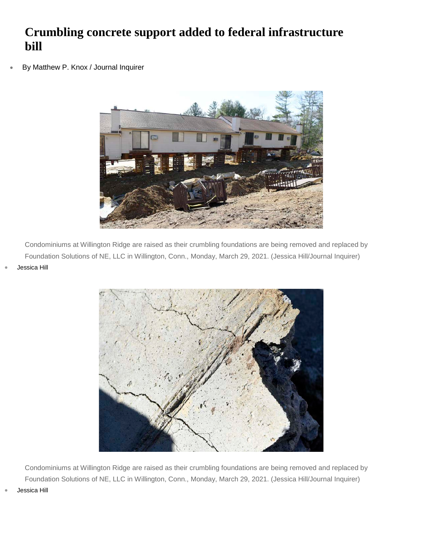## **Crumbling concrete support added to federal infrastructure bill**

• [By Matthew P. Knox / Journal Inquirer](https://www.journalinquirer.com/users/profile/Matt%20Knox%20JI)



Condominiums at Willington Ridge are raised as their crumbling foundations are being removed and replaced by Foundation Solutions of NE, LLC in Willington, Conn., Monday, March 29, 2021. (Jessica Hill/Journal Inquirer) • [Jessica Hill](https://www.journalinquirer.com/users/profile/Jessica%20Hill)



Condominiums at Willington Ridge are raised as their crumbling foundations are being removed and replaced by Foundation Solutions of NE, LLC in Willington, Conn., Monday, March 29, 2021. (Jessica Hill/Journal Inquirer)

• [Jessica Hill](https://www.journalinquirer.com/users/profile/Jessica%20Hill)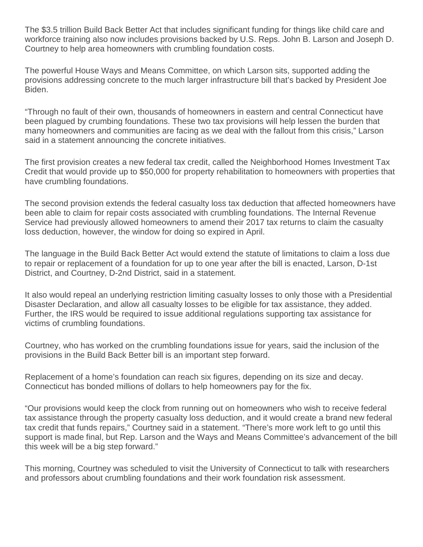The \$3.5 trillion Build Back Better Act that includes significant funding for things like child care and workforce training also now includes provisions backed by U.S. Reps. John B. Larson and Joseph D. Courtney to help area homeowners with crumbling foundation costs.

The powerful House Ways and Means Committee, on which Larson sits, supported adding the provisions addressing concrete to the much larger infrastructure bill that's backed by President Joe Biden.

"Through no fault of their own, thousands of homeowners in eastern and central Connecticut have been plagued by crumbing foundations. These two tax provisions will help lessen the burden that many homeowners and communities are facing as we deal with the fallout from this crisis," Larson said in a statement announcing the concrete initiatives.

The first provision creates a new federal tax credit, called the Neighborhood Homes Investment Tax Credit that would provide up to \$50,000 for property rehabilitation to homeowners with properties that have crumbling foundations.

The second provision extends the federal casualty loss tax deduction that affected homeowners have been able to claim for repair costs associated with crumbling foundations. The Internal Revenue Service had previously allowed homeowners to amend their 2017 tax returns to claim the casualty loss deduction, however, the window for doing so expired in April.

The language in the Build Back Better Act would extend the statute of limitations to claim a loss due to repair or replacement of a foundation for up to one year after the bill is enacted, Larson, D-1st District, and Courtney, D-2nd District, said in a statement.

It also would repeal an underlying restriction limiting casualty losses to only those with a Presidential Disaster Declaration, and allow all casualty losses to be eligible for tax assistance, they added. Further, the IRS would be required to issue additional regulations supporting tax assistance for victims of crumbling foundations.

Courtney, who has worked on the crumbling foundations issue for years, said the inclusion of the provisions in the Build Back Better bill is an important step forward.

Replacement of a home's foundation can reach six figures, depending on its size and decay. Connecticut has bonded millions of dollars to help homeowners pay for the fix.

"Our provisions would keep the clock from running out on homeowners who wish to receive federal tax assistance through the property casualty loss deduction, and it would create a brand new federal tax credit that funds repairs," Courtney said in a statement. "There's more work left to go until this support is made final, but Rep. Larson and the Ways and Means Committee's advancement of the bill this week will be a big step forward."

This morning, Courtney was scheduled to visit the University of Connecticut to talk with researchers and professors about crumbling foundations and their work foundation risk assessment.